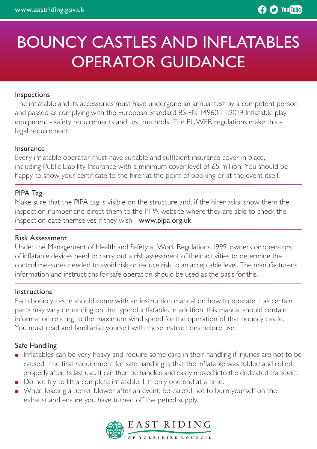# BOUNCY CASTLES AND INFLATABLES OPERATOR GUIDANCE

#### Inspections

The inflatable and its accessories must have undergone an annual test by a competent person and passed as complying with the European Standard BS EN 14960 - 1:2019 Inflatable play equipment - safety requirements and test methods. The PUWER regulations make this a legal requirement.

#### Insurance

Every inflatable operator must have suitable and sufficient insurance cover in place, including Public Liability Insurance with a minimum cover level of £5 million. You should be happy to show your certificate to the hirer at the point of booking or at the event itself.

#### PIPA Tag

Make sure that the PIPA tag is visible on the structure and, if the hirer asks, show them the inspection number and direct them to the PIPA website where they are able to check the inspection date themselves if they wish - www.pipa.org.uk

#### Risk Assessment

Under the Management of Health and Safety at Work Regulations 1999, owners or operators of inflatable devices need to carry out a risk assessment of their activities to determine the control measures needed to avoid risk or reduce risk to an acceptable level. The manufacturer's information and instructions for safe operation should be used as the basis for this.

#### Instructions

Each bouncy castle should come with an instruction manual on how to operate it as certain parts may vary depending on the type of inflatable. In addition, this manual should contain information relating to the maximum wind speed for the operation of that bouncy castle. You must read and familiarise yourself with these instructions before use.

#### Safe Handling

- Inflatables can be very heavy and require some care in their handling if injuries are not to be caused. The first requirement for safe handling is that the inflatable was folded and rolled properly after its last use. It can then be handled and easily moved into the dedicated transport.
- Do not try to lift a complete inflatable. Lift only one end at a time.
- When loading a petrol blower after an event, be careful not to burn yourself on the exhaust and ensure you have turned off the petrol supply.

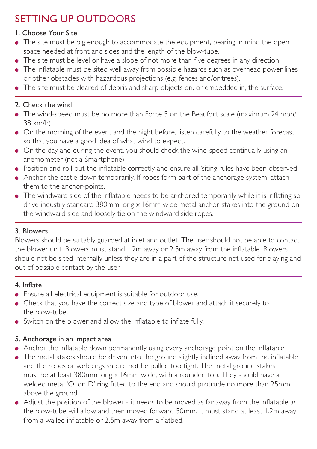# SETTING UP OUTDOORS

### 1. Choose Your Site

- The site must be big enough to accommodate the equipment, bearing in mind the open space needed at front and sides and the length of the blow-tube.
- The site must be level or have a slope of not more than five degrees in any direction.
- The inflatable must be sited well away from possible hazards such as overhead power lines or other obstacles with hazardous projections (e.g. fences and/or trees).
- The site must be cleared of debris and sharp objects on, or embedded in, the surface.

## 2. Check the wind

- The wind-speed must be no more than Force 5 on the Beaufort scale (maximum 24 mph/ 38 km/h).
- On the morning of the event and the night before, listen carefully to the weather forecast so that you have a good idea of what wind to expect.
- On the day and during the event, you should check the wind-speed continually using an anemometer (not a Smartphone).
- Position and roll out the inflatable correctly and ensure all 'siting rules have been observed.
- Anchor the castle down temporarily. If ropes form part of the anchorage system, attach them to the anchor-points.
- The windward side of the inflatable needs to be anchored temporarily while it is inflating so drive industry standard 380mm long x 16mm wide metal anchor-stakes into the ground on the windward side and loosely tie on the windward side ropes.

# 3. Blowers

Blowers should be suitably guarded at inlet and outlet. The user should not be able to contact the blower unit. Blowers must stand 1.2m away or 2.5m away from the inflatable. Blowers should not be sited internally unless they are in a part of the structure not used for playing and out of possible contact by the user.

# 4. Inflate

- Ensure all electrical equipment is suitable for outdoor use.
- Check that you have the correct size and type of blower and attach it securely to the blow-tube.
- Switch on the blower and allow the inflatable to inflate fully.

### 5. Anchorage in an impact area

- Anchor the inflatable down permanently using every anchorage point on the inflatable
- The metal stakes should be driven into the ground slightly inclined away from the inflatable and the ropes or webbings should not be pulled too tight. The metal ground stakes must be at least 380mm long  $\times$  16mm wide, with a rounded top. They should have a welded metal 'O' or 'D' ring fitted to the end and should protrude no more than 25mm above the ground.
- Adjust the position of the blower it needs to be moved as far away from the inflatable as the blow-tube will allow and then moved forward 50mm. It must stand at least 1.2m away from a walled inflatable or 2.5m away from a flatbed.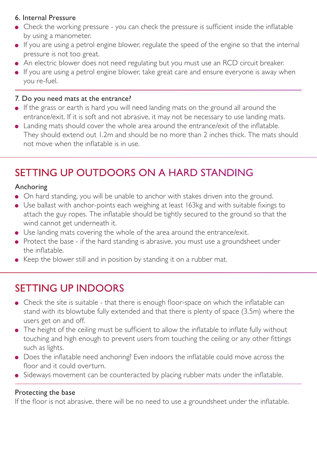### 6. Internal Pressure

- Check the working pressure you can check the pressure is sufficient inside the inflatable by using a manometer.
- If you are using a petrol engine blower, regulate the speed of the engine so that the internal pressure is not too great.
- An electric blower does not need regulating but you must use an RCD circuit breaker.
- If you are using a petrol engine blower, take great care and ensure everyone is away when you re-fuel.

### 7. Do you need mats at the entrance?

- If the grass or earth is hard you will need landing mats on the ground all around the entrance/exit. If it is soft and not abrasive, it may not be necessary to use landing mats.
- Landing mats should cover the whole area around the entrance/exit of the inflatable. They should extend out 1.2m and should be no more than 2 inches thick. The mats should not move when the inflatable is in use.

# SETTING UP OUTDOORS ON A HARD STANDING

### Anchoring

- On hard standing, you will be unable to anchor with stakes driven into the ground.
- Use ballast with anchor-points each weighing at least 163kg and with suitable fixings to attach the guy ropes. The inflatable should be tightly secured to the ground so that the wind cannot get underneath it.
- Use landing mats covering the whole of the area around the entrance/exit.
- Protect the base if the hard standing is abrasive, you must use a groundsheet under the inflatable.
- Keep the blower still and in position by standing it on a rubber mat.

# SETTING UP INDOORS

- Check the site is suitable that there is enough floor-space on which the inflatable can stand with its blowtube fully extended and that there is plenty of space (3.5m) where the users get on and off.
- The height of the ceiling must be sufficient to allow the inflatable to inflate fully without touching and high enough to prevent users from touching the ceiling or any other fittings such as lights.
- Does the inflatable need anchoring? Even indoors the inflatable could move across the floor and it could overturn.
- Sideways movement can be counteracted by placing rubber mats under the inflatable.

### Protecting the base

If the floor is not abrasive, there will be no need to use a groundsheet under the inflatable.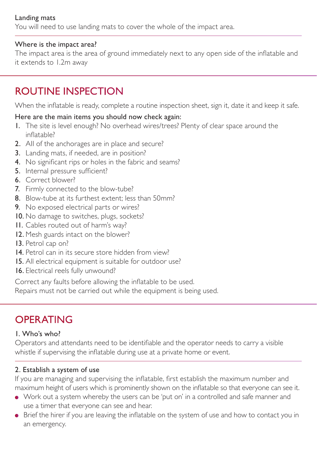### Landing mats

You will need to use landing mats to cover the whole of the impact area.

### Where is the impact area?

The impact area is the area of ground immediately next to any open side of the inflatable and it extends to 1.2m away

# ROUTINE INSPECTION

When the inflatable is ready, complete a routine inspection sheet, sign it, date it and keep it safe.

### Here are the main items you should now check again:

- 1. The site is level enough? No overhead wires/trees? Plenty of clear space around the inflatable?
- 2. AII of the anchorages are in place and secure?
- 3. Landing mats, if needed, are in position?
- 4. No significant rips or holes in the fabric and seams?
- 5. Internal pressure sufficient?
- 6. Correct blower?
- 7. Firmly connected to the blow-tube?
- 8. Blow-tube at its furthest extent; less than 50mm?
- 9. No exposed electrical parts or wires?
- 10. No damage to switches, plugs, sockets?
- 11. Cables routed out of harm's way?
- 12. Mesh guards intact on the blower?
- 13. Petrol cap on?
- 14. Petrol can in its secure store hidden from view?
- 15. All electrical equipment is suitable for outdoor use?
- 16. Electrical reels fully unwound?

Correct any faults before allowing the inflatable to be used.

Repairs must not be carried out while the equipment is being used.

# **OPERATING**

### 1. Who's who?

Operators and attendants need to be identifiable and the operator needs to carry a visible whistle if supervising the inflatable during use at a private home or event.

### 2. Establish a system of use

If you are managing and supervising the inflatable, first establish the maximum number and maximum height of users which is prominently shown on the inflatable so that everyone can see it.

- Work out a system whereby the users can be 'put on' in a controlled and safe manner and use a timer that everyone can see and hear.
- Brief the hirer if you are leaving the inflatable on the system of use and how to contact you in an emergency.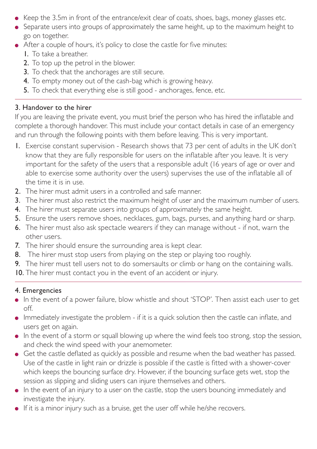- $\bullet$  Keep the 3.5m in front of the entrance/exit clear of coats, shoes, bags, money glasses etc.
- Separate users into groups of approximately the same height, up to the maximum height to go on together.
- After a couple of hours, it's policy to close the castle for five minutes:
	- 1. To take a breather.
	- 2. To top up the petrol in the blower.
	- 3. To check that the anchorages are still secure.
	- 4. To empty money out of the cash-bag which is growing heavy.
	- 5. To check that everything else is still good anchorages, fence, etc.

### 3. Handover to the hirer

If you are leaving the private event, you must brief the person who has hired the inflatable and complete a thorough handover. This must include your contact details in case of an emergency and run through the following points with them before leaving. This is very important.

- 1. Exercise constant supervision Research shows that 73 per cent of adults in the UK don't know that they are fully responsible for users on the inflatable after you leave. It is very important for the safety of the users that a responsible adult (16 years of age or over and able to exercise some authority over the users) supervises the use of the inflatable all of the time it is in use.
- 2. The hirer must admit users in a controlled and safe manner.
- 3. The hirer must also restrict the maximum height of user and the maximum number of users.
- 4. The hirer must separate users into groups of approximately the same height.
- 5. Ensure the users remove shoes, necklaces, gum, bags, purses, and anything hard or sharp.
- 6. The hirer must also ask spectacle wearers if they can manage without if not, warn the other users.
- 7. The hirer should ensure the surrounding area is kept clear.
- 8. The hirer must stop users from playing on the step or playing too roughly.
- 9. The hirer must tell users not to do somersaults or climb or hang on the containing walls.
- 10. The hirer must contact you in the event of an accident or injury.

### 4. Emergencies

- In the event of a power failure, blow whistle and shout 'STOP'. Then assist each user to get off.
- Immediately investigate the problem if it is a quick solution then the castle can inflate, and users get on again.
- In the event of a storm or squall blowing up where the wind feels too strong, stop the session, and check the wind speed with your anemometer.
- Get the castle deflated as quickly as possible and resume when the bad weather has passed. Use of the castle in light rain or drizzle is possible if the castle is fitted with a shower-cover which keeps the bouncing surface dry. However, if the bouncing surface gets wet, stop the session as slipping and sliding users can injure themselves and others.
- In the event of an injury to a user on the castle, stop the users bouncing immediately and investigate the injury.
- If it is a minor injury such as a bruise, get the user off while he/she recovers.